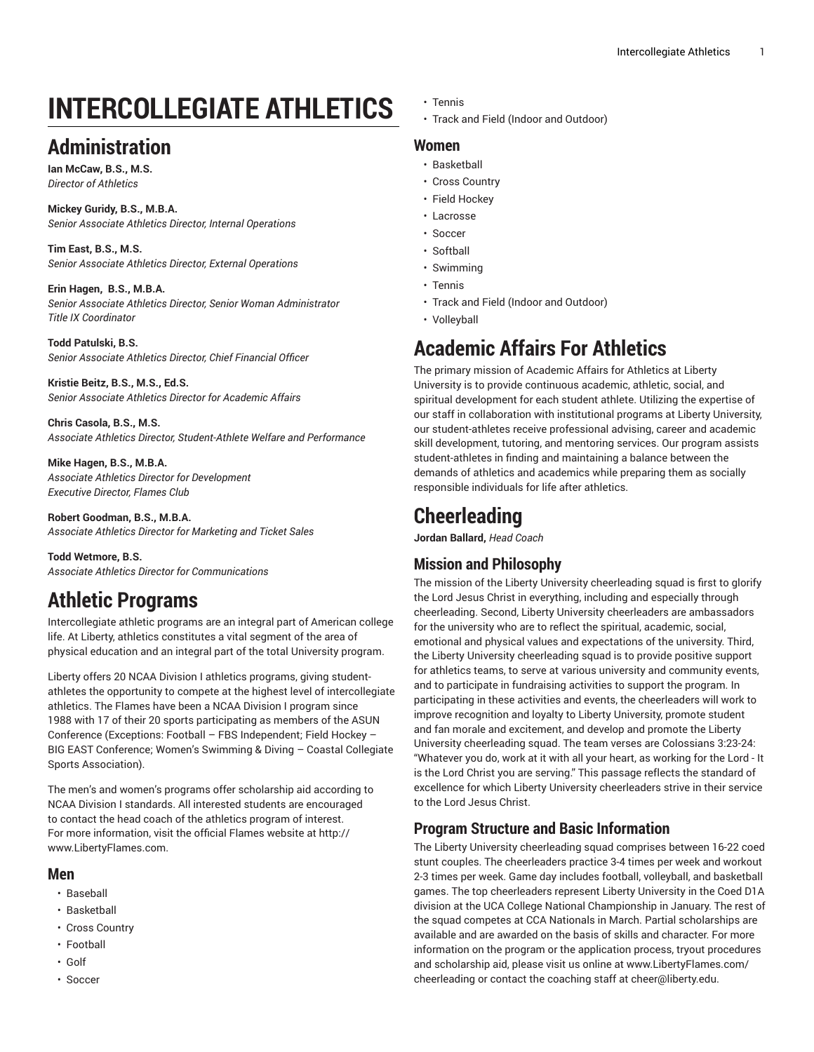# **INTERCOLLEGIATE ATHLETICS**

#### **Administration**

**Ian McCaw, B.S., M.S.** *Director of Athletics*

**Mickey Guridy, B.S., M.B.A.** *Senior Associate Athletics Director, Internal Operations*

**Tim East, B.S., M.S.** *Senior Associate Athletics Director, External Operations*

**Erin Hagen, B.S., M.B.A.** *Senior Associate Athletics Director, Senior Woman Administrator Title IX Coordinator*

**Todd Patulski, B.S.** *Senior Associate Athletics Director, Chief Financial Officer*

**Kristie Beitz, B.S., M.S., Ed.S.** *Senior Associate Athletics Director for Academic Affairs*

**Chris Casola, B.S., M.S.** *Associate Athletics Director, Student-Athlete Welfare and Performance*

**Mike Hagen, B.S., M.B.A.** *Associate Athletics Director for Development Executive Director, Flames Club*

**Robert Goodman, B.S., M.B.A.** *Associate Athletics Director for Marketing and Ticket Sales*

**Todd Wetmore, B.S.** *Associate Athletics Director for Communications*

# **Athletic Programs**

Intercollegiate athletic programs are an integral part of American college life. At Liberty, athletics constitutes a vital segment of the area of physical education and an integral part of the total University program.

Liberty offers 20 NCAA Division I athletics programs, giving studentathletes the opportunity to compete at the highest level of intercollegiate athletics. The Flames have been a NCAA Division I program since 1988 with 17 of their 20 sports participating as members of the ASUN Conference (Exceptions: Football – FBS Independent; Field Hockey – BIG EAST Conference; Women's Swimming & Diving – Coastal Collegiate Sports Association).

The men's and women's programs offer scholarship aid according to NCAA Division I standards. All interested students are encouraged to contact the head coach of the athletics program of interest. For more information, visit the official Flames website at [http://](http://www.liberty.edu/flames/) [www.LibertyFlames.com.](http://www.liberty.edu/flames/)

#### **Men**

- Baseball
- Basketball
- Cross Country
- Football
- Golf
- Soccer
- Tennis
- Track and Field (Indoor and Outdoor)

#### **Women**

- Basketball
- Cross Country
- Field Hockey
- Lacrosse
- Soccer
- Softball
- Swimming
- Tennis
- Track and Field (Indoor and Outdoor)
- Volleyball

### **Academic Affairs For Athletics**

The primary mission of Academic Affairs for Athletics at Liberty University is to provide continuous academic, athletic, social, and spiritual development for each student athlete. Utilizing the expertise of our staff in collaboration with institutional programs at Liberty University, our student-athletes receive professional advising, career and academic skill development, tutoring, and mentoring services. Our program assists student-athletes in finding and maintaining a balance between the demands of athletics and academics while preparing them as socially responsible individuals for life after athletics.

# **Cheerleading**

**Jordan Ballard,** *Head Coach*

#### **Mission and Philosophy**

The mission of the Liberty University cheerleading squad is first to glorify the Lord Jesus Christ in everything, including and especially through cheerleading. Second, Liberty University cheerleaders are ambassadors for the university who are to reflect the spiritual, academic, social, emotional and physical values and expectations of the university. Third, the Liberty University cheerleading squad is to provide positive support for athletics teams, to serve at various university and community events, and to participate in fundraising activities to support the program. In participating in these activities and events, the cheerleaders will work to improve recognition and loyalty to Liberty University, promote student and fan morale and excitement, and develop and promote the Liberty University cheerleading squad. The team verses are Colossians 3:23-24: "Whatever you do, work at it with all your heart, as working for the Lord - It is the Lord Christ you are serving." This passage reflects the standard of excellence for which Liberty University cheerleaders strive in their service to the Lord Jesus Christ.

#### **Program Structure and Basic Information**

The Liberty University cheerleading squad comprises between 16-22 coed stunt couples. The cheerleaders practice 3-4 times per week and workout 2-3 times per week. Game day includes football, volleyball, and basketball games. The top cheerleaders represent Liberty University in the Coed D1A division at the UCA College National Championship in January. The rest of the squad competes at CCA Nationals in March. Partial scholarships are available and are awarded on the basis of skills and character. For more information on the program or the application process, tryout procedures and scholarship aid, please visit us online at [www.LibertyFlames.com/](http://www.liberty.edu/flames/?PID=38083) [cheerleading](http://www.liberty.edu/flames/?PID=38083) or contact the coaching staff at [cheer@liberty.edu](mailto:cheer@liberty.edu).